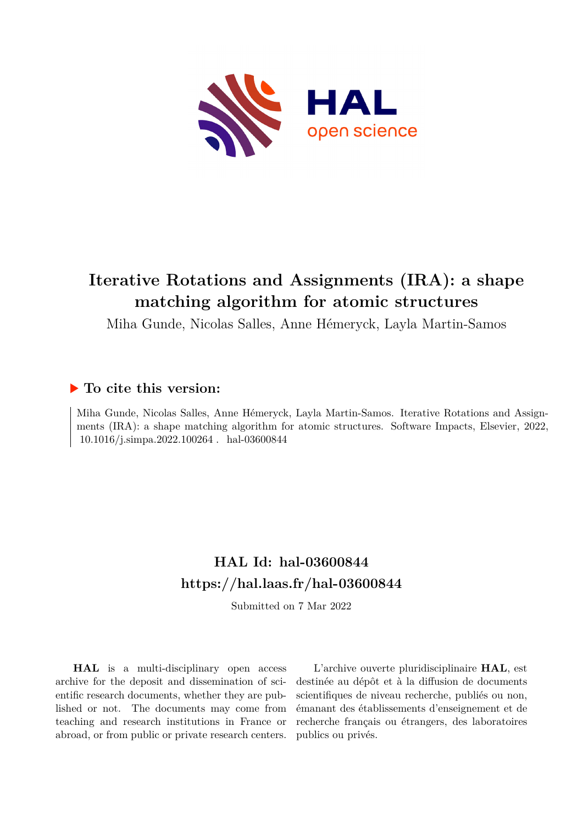

# **Iterative Rotations and Assignments (IRA): a shape matching algorithm for atomic structures**

Miha Gunde, Nicolas Salles, Anne Hémeryck, Layla Martin-Samos

## **To cite this version:**

Miha Gunde, Nicolas Salles, Anne Hémeryck, Layla Martin-Samos. Iterative Rotations and Assignments (IRA): a shape matching algorithm for atomic structures. Software Impacts, Elsevier, 2022, 10.1016/j.simpa.2022.100264. hal-03600844

# **HAL Id: hal-03600844 <https://hal.laas.fr/hal-03600844>**

Submitted on 7 Mar 2022

**HAL** is a multi-disciplinary open access archive for the deposit and dissemination of scientific research documents, whether they are published or not. The documents may come from teaching and research institutions in France or abroad, or from public or private research centers.

L'archive ouverte pluridisciplinaire **HAL**, est destinée au dépôt et à la diffusion de documents scientifiques de niveau recherche, publiés ou non, émanant des établissements d'enseignement et de recherche français ou étrangers, des laboratoires publics ou privés.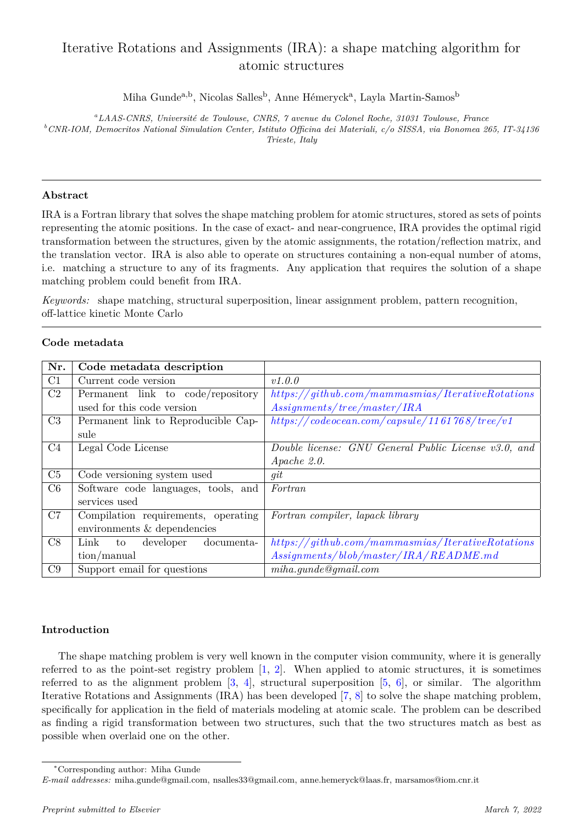## Iterative Rotations and Assignments (IRA): a shape matching algorithm for atomic structures

Miha Gunde<sup>a,b</sup>, Nicolas Salles<sup>b</sup>, Anne Hémeryck<sup>a</sup>, Layla Martin-Samos<sup>b</sup>

*<sup>a</sup>LAAS-CNRS, Universit´e de Toulouse, CNRS, 7 avenue du Colonel Roche, 31031 Toulouse, France <sup>b</sup>CNR-IOM, Democritos National Simulation Center, Istituto Officina dei Materiali, c/o SISSA, via Bonomea 265, IT-34136 Trieste, Italy*

### **Abstract**

IRA is a Fortran library that solves the shape matching problem for atomic structures, stored as sets of points representing the atomic positions. In the case of exact- and near-congruence, IRA provides the optimal rigid transformation between the structures, given by the atomic assignments, the rotation/reflection matrix, and the translation vector. IRA is also able to operate on structures containing a non-equal number of atoms, i.e. matching a structure to any of its fragments. Any application that requires the solution of a shape matching problem could benefit from IRA.

*Keywords:* shape matching, structural superposition, linear assignment problem, pattern recognition, off-lattice kinetic Monte Carlo

| Nr. | Code metadata description             |                                                        |
|-----|---------------------------------------|--------------------------------------------------------|
| C1  | Current code version                  | v1.0.0                                                 |
| C2  | Permanent link to code/repository     | $https://github.com/mammasmias/IterativeRotations$     |
|     | used for this code version            | Assig numbers/tree/master/IRA                          |
| C3  | Permanent link to Reproducible Cap-   | https://codeocean.com/capsule/1161768/tree/v1          |
|     | sule                                  |                                                        |
| C4  | Legal Code License                    | Double license: GNU General Public License v3.0, and   |
|     |                                       | $A$ <i>pache</i> $2.0$ .                               |
| C5  | Code versioning system used           | qit                                                    |
| C6  | Software code languages, tools, and   | Fortran                                                |
|     | services used                         |                                                        |
| C7  | Compilation requirements, operating   | Fortran compiler, lapack library                       |
|     | environments & dependencies           |                                                        |
| C8  | Link<br>developer<br>documenta-<br>to | $\hbar tps://github.com/mammasmias/IterativeRotations$ |
|     | $\text{tion}/\text{manual}$           | $Assig numbers/blob/master/IRA/README.md$              |
| C9  | Support email for questions           | miha.gunde@gmail.com                                   |

### **Code metadata**

## **Introduction**

The shape matching problem is very well known in the computer vision community, where it is generally referred to as the point-set registry problem [1, 2]. When applied to atomic structures, it is sometimes referred to as the alignment problem  $[3, 4]$ , structural superposition  $[5, 6]$ , or similar. The algorithm Iterative Rotations and Assignments (IRA) has been developed [7, 8] to solve the shape matching problem, specifically for application in the field of materials modeling at atomic scale. The problem can be described as finding a rigid transformation between two structures, such that the two structures match as best as possible when overlaid one on the other.

<sup>∗</sup>Corresponding author: Miha Gunde

*E-mail addresses:* miha.gunde@gmail.com, nsalles33@gmail.com, anne.hemeryck@laas.fr, marsamos@iom.cnr.it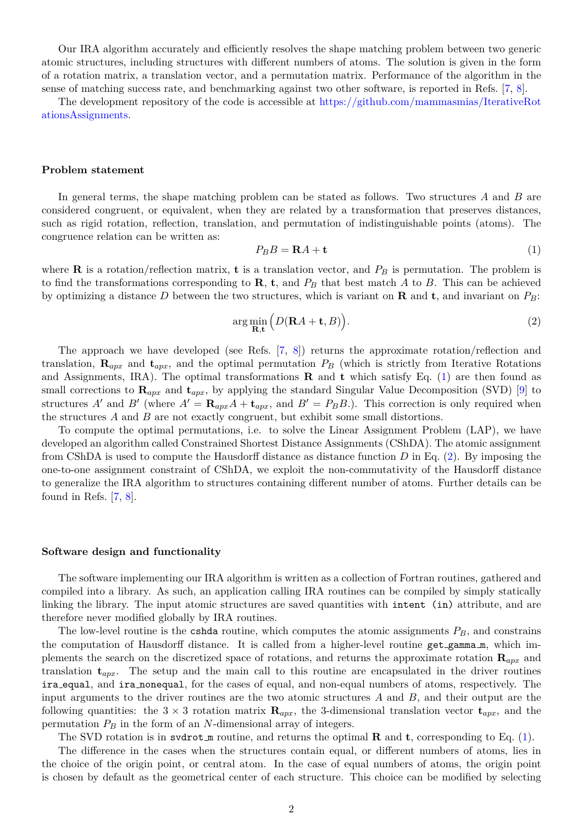Our IRA algorithm accurately and efficiently resolves the shape matching problem between two generic atomic structures, including structures with different numbers of atoms. The solution is given in the form of a rotation matrix, a translation vector, and a permutation matrix. Performance of the algorithm in the sense of matching success rate, and benchmarking against two other software, is reported in Refs. [7, 8].

The development repository of the code is accessible at [https://github.com/mammasmias/IterativeRot](https://github.com/mammasmias/IterativeRotationsAssignments) [ationsAssignments.](https://github.com/mammasmias/IterativeRotationsAssignments)

#### **Problem statement**

In general terms, the shape matching problem can be stated as follows. Two structures *A* and *B* are considered congruent, or equivalent, when they are related by a transformation that preserves distances, such as rigid rotation, reflection, translation, and permutation of indistinguishable points (atoms). The congruence relation can be written as:

$$
P_B B = \mathbf{R} A + \mathbf{t} \tag{1}
$$

where **R** is a rotation/reflection matrix, **t** is a translation vector, and  $P_B$  is permutation. The problem is to find the transformations corresponding to  $\mathbf{R}$ ,  $\mathbf{t}$ , and  $P_B$  that best match  $A$  to  $B$ . This can be achieved by optimizing a distance *D* between the two structures, which is variant on **R** and **t**, and invariant on *PB*:

$$
\arg\min_{\mathbf{R},\mathbf{t}} \Big( D(\mathbf{R}A + \mathbf{t}, B) \Big). \tag{2}
$$

The approach we have developed (see Refs. [7, 8]) returns the approximate rotation/reflection and translation,  $\mathbf{R}_{apx}$  and  $\mathbf{t}_{apx}$ , and the optimal permutation  $P_B$  (which is strictly from Iterative Rotations and Assignments, IRA). The optimal transformations **R** and **t** which satisfy Eq. (1) are then found as small corrections to **R***apx* and **t***apx*, by applying the standard Singular Value Decomposition (SVD) [9] to structures *A'* and *B'* (where  $A' = \mathbf{R}_{apx}A + \mathbf{t}_{apx}$ , and  $B' = P_B B$ .). This correction is only required when the structures *A* and *B* are not exactly congruent, but exhibit some small distortions.

To compute the optimal permutations, i.e. to solve the Linear Assignment Problem (LAP), we have developed an algorithm called Constrained Shortest Distance Assignments (CShDA). The atomic assignment from CShDA is used to compute the Hausdorff distance as distance function *D* in Eq. (2). By imposing the one-to-one assignment constraint of CShDA, we exploit the non-commutativity of the Hausdorff distance to generalize the IRA algorithm to structures containing different number of atoms. Further details can be found in Refs. [7, 8].

#### **Software design and functionality**

The software implementing our IRA algorithm is written as a collection of Fortran routines, gathered and compiled into a library. As such, an application calling IRA routines can be compiled by simply statically linking the library. The input atomic structures are saved quantities with intent (in) attribute, and are therefore never modified globally by IRA routines.

The low-level routine is the cshda routine, which computes the atomic assignments  $P_B$ , and constrains the computation of Hausdorff distance. It is called from a higher-level routine get gamma m, which implements the search on the discretized space of rotations, and returns the approximate rotation **R***apx* and translation **t***apx*. The setup and the main call to this routine are encapsulated in the driver routines ira equal, and ira nonequal, for the cases of equal, and non-equal numbers of atoms, respectively. The input arguments to the driver routines are the two atomic structures *A* and *B*, and their output are the following quantities: the  $3 \times 3$  rotation matrix  $\mathbf{R}_{apx}$ , the 3-dimensional translation vector  $\mathbf{t}_{apx}$ , and the permutation *P<sup>B</sup>* in the form of an *N*-dimensional array of integers.

The SVD rotation is in svdrot m routine, and returns the optimal  $\bf{R}$  and  $\bf{t}$ , corresponding to Eq. (1).

The difference in the cases when the structures contain equal, or different numbers of atoms, lies in the choice of the origin point, or central atom. In the case of equal numbers of atoms, the origin point is chosen by default as the geometrical center of each structure. This choice can be modified by selecting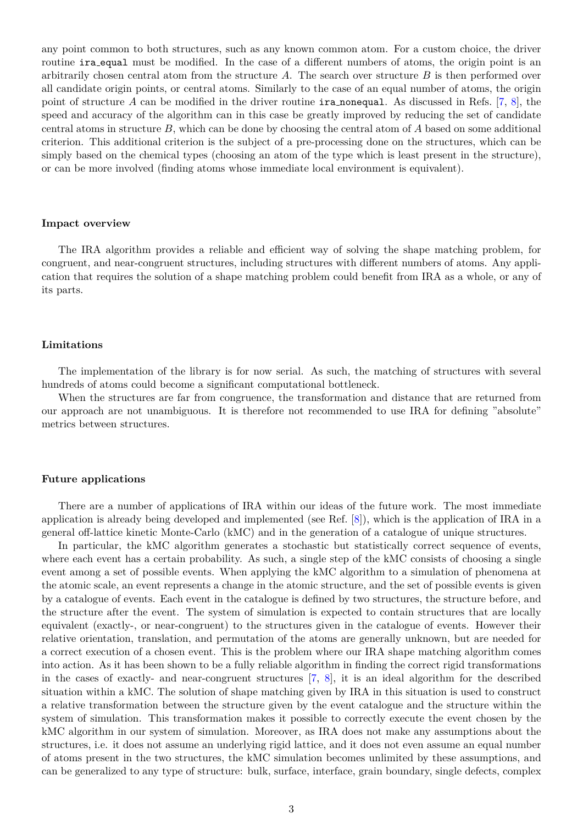any point common to both structures, such as any known common atom. For a custom choice, the driver routine **ira equal** must be modified. In the case of a different numbers of atoms, the origin point is an arbitrarily chosen central atom from the structure *A*. The search over structure *B* is then performed over all candidate origin points, or central atoms. Similarly to the case of an equal number of atoms, the origin point of structure *A* can be modified in the driver routine ira nonequal. As discussed in Refs. [7, 8], the speed and accuracy of the algorithm can in this case be greatly improved by reducing the set of candidate central atoms in structure *B*, which can be done by choosing the central atom of *A* based on some additional criterion. This additional criterion is the subject of a pre-processing done on the structures, which can be simply based on the chemical types (choosing an atom of the type which is least present in the structure), or can be more involved (finding atoms whose immediate local environment is equivalent).

#### **Impact overview**

The IRA algorithm provides a reliable and efficient way of solving the shape matching problem, for congruent, and near-congruent structures, including structures with different numbers of atoms. Any application that requires the solution of a shape matching problem could benefit from IRA as a whole, or any of its parts.

#### **Limitations**

The implementation of the library is for now serial. As such, the matching of structures with several hundreds of atoms could become a significant computational bottleneck.

When the structures are far from congruence, the transformation and distance that are returned from our approach are not unambiguous. It is therefore not recommended to use IRA for defining "absolute" metrics between structures.

#### **Future applications**

There are a number of applications of IRA within our ideas of the future work. The most immediate application is already being developed and implemented (see Ref. [8]), which is the application of IRA in a general off-lattice kinetic Monte-Carlo (kMC) and in the generation of a catalogue of unique structures.

In particular, the kMC algorithm generates a stochastic but statistically correct sequence of events, where each event has a certain probability. As such, a single step of the kMC consists of choosing a single event among a set of possible events. When applying the kMC algorithm to a simulation of phenomena at the atomic scale, an event represents a change in the atomic structure, and the set of possible events is given by a catalogue of events. Each event in the catalogue is defined by two structures, the structure before, and the structure after the event. The system of simulation is expected to contain structures that are locally equivalent (exactly-, or near-congruent) to the structures given in the catalogue of events. However their relative orientation, translation, and permutation of the atoms are generally unknown, but are needed for a correct execution of a chosen event. This is the problem where our IRA shape matching algorithm comes into action. As it has been shown to be a fully reliable algorithm in finding the correct rigid transformations in the cases of exactly- and near-congruent structures [7, 8], it is an ideal algorithm for the described situation within a kMC. The solution of shape matching given by IRA in this situation is used to construct a relative transformation between the structure given by the event catalogue and the structure within the system of simulation. This transformation makes it possible to correctly execute the event chosen by the kMC algorithm in our system of simulation. Moreover, as IRA does not make any assumptions about the structures, i.e. it does not assume an underlying rigid lattice, and it does not even assume an equal number of atoms present in the two structures, the kMC simulation becomes unlimited by these assumptions, and can be generalized to any type of structure: bulk, surface, interface, grain boundary, single defects, complex